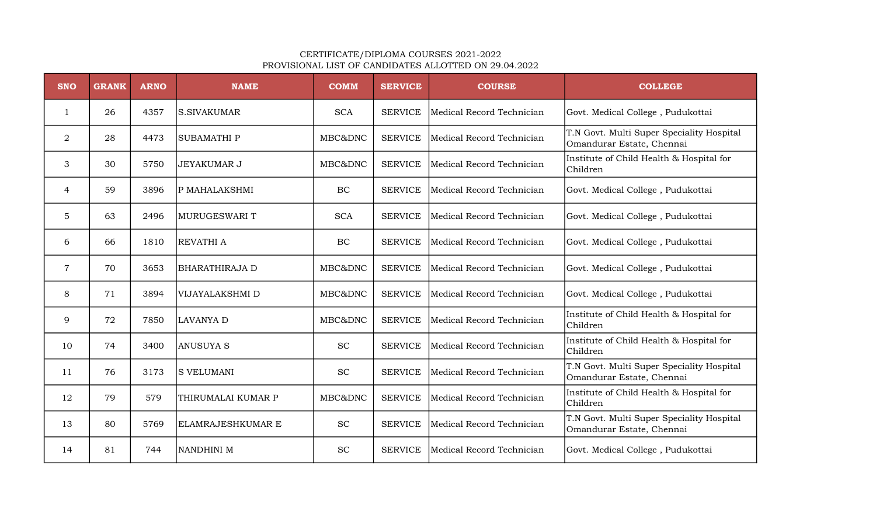## CERTIFICATE/DIPLOMA COURSES 2021-2022 PROVISIONAL LIST OF CANDIDATES ALLOTTED ON 29.04.2022

| <b>SNO</b> | <b>GRANK</b> | <b>ARNO</b> | <b>NAME</b>           | <b>COMM</b>                 | <b>SERVICE</b> | <b>COURSE</b>             | <b>COLLEGE</b>                                                         |
|------------|--------------|-------------|-----------------------|-----------------------------|----------------|---------------------------|------------------------------------------------------------------------|
| 1          | 26           | 4357        | ls.sivakumar          | <b>SCA</b>                  | <b>SERVICE</b> | Medical Record Technician | Govt. Medical College, Pudukottai                                      |
| 2          | 28           | 4473        | ISUBAMATHI P          | MBC&DNC                     | <b>SERVICE</b> | Medical Record Technician | T.N Govt. Multi Super Speciality Hospital<br>Omandurar Estate, Chennai |
| 3          | 30           | 5750        | <b>JEYAKUMAR J</b>    | MBC&DNC                     | <b>SERVICE</b> | Medical Record Technician | Institute of Child Health & Hospital for<br>Children                   |
| 4          | 59           | 3896        | P MAHALAKSHMI         | BC                          | <b>SERVICE</b> | Medical Record Technician | Govt. Medical College, Pudukottai                                      |
| 5          | 63           | 2496        | MURUGESWARI T         | <b>SCA</b>                  | <b>SERVICE</b> | Medical Record Technician | Govt. Medical College, Pudukottai                                      |
| 6          | 66           | 1810        | <b>REVATHI A</b>      | BC                          | <b>SERVICE</b> | Medical Record Technician | Govt. Medical College, Pudukottai                                      |
| 7          | 70           | 3653        | <b>BHARATHIRAJA D</b> | MBC&DNC                     | <b>SERVICE</b> | Medical Record Technician | Govt. Medical College, Pudukottai                                      |
| 8          | 71           | 3894        | VIJAYALAKSHMI D       | MBC&DNC                     | <b>SERVICE</b> | Medical Record Technician | Govt. Medical College, Pudukottai                                      |
| 9          | 72           | 7850        | <b>LAVANYA D</b>      | MBC&DNC                     | <b>SERVICE</b> | Medical Record Technician | Institute of Child Health & Hospital for<br>Children                   |
| 10         | 74           | 3400        | ANUSUYA S             | <b>SC</b>                   | <b>SERVICE</b> | Medical Record Technician | Institute of Child Health & Hospital for<br>Children                   |
| 11         | 76           | 3173        | <b>S VELUMANI</b>     | <b>SC</b>                   | <b>SERVICE</b> | Medical Record Technician | T.N Govt. Multi Super Speciality Hospital<br>Omandurar Estate, Chennai |
| 12         | 79           | 579         | THIRUMALAI KUMAR P    | MBC&DNC                     | <b>SERVICE</b> | Medical Record Technician | Institute of Child Health & Hospital for<br>Children                   |
| 13         | 80           | 5769        | ELAMRAJESHKUMAR E     | $\protect\operatorname{SC}$ | <b>SERVICE</b> | Medical Record Technician | T.N Govt. Multi Super Speciality Hospital<br>Omandurar Estate, Chennai |
| 14         | 81           | 744         | NANDHINI M            | <b>SC</b>                   | <b>SERVICE</b> | Medical Record Technician | Govt. Medical College, Pudukottai                                      |